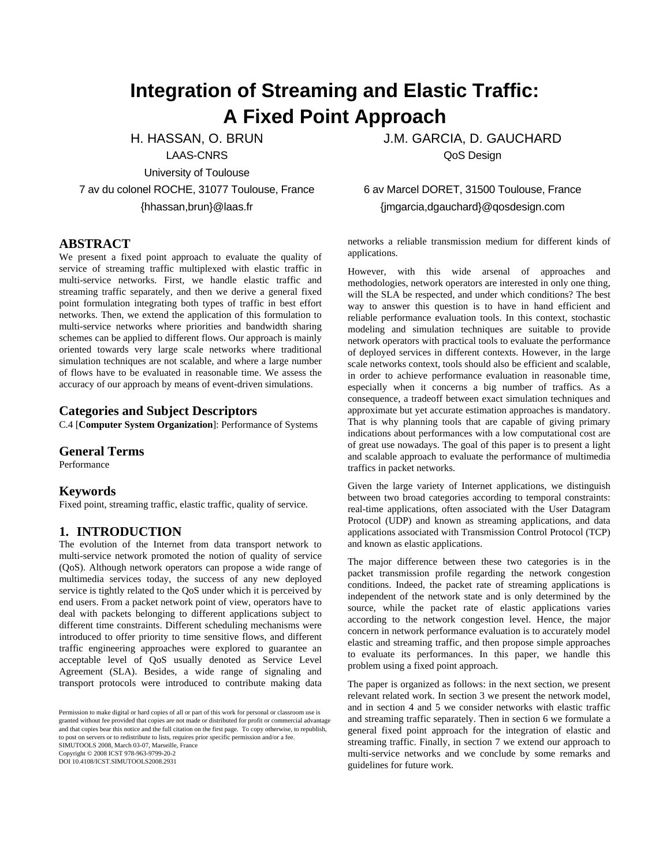# **Integration of Streaming and Elastic Traffic: A Fixed Point Approach**

H. HASSAN, O. BRUN

LAAS-CNRS

University of Toulouse

7 av du colonel ROCHE, 31077 Toulouse, France {hhassan,brun}@laas.fr

# **ABSTRACT**

We present a fixed point approach to evaluate the quality of service of streaming traffic multiplexed with elastic traffic in multi-service networks. First, we handle elastic traffic and streaming traffic separately, and then we derive a general fixed point formulation integrating both types of traffic in best effort networks. Then, we extend the application of this formulation to multi-service networks where priorities and bandwidth sharing schemes can be applied to different flows. Our approach is mainly oriented towards very large scale networks where traditional simulation techniques are not scalable, and where a large number of flows have to be evaluated in reasonable time. We assess the accuracy of our approach by means of event-driven simulations.

# **Categories and Subject Descriptors**

C.4 [**Computer System Organization**]: Performance of Systems

#### **General Terms**

Performance

#### **Keywords**

Fixed point, streaming traffic, elastic traffic, quality of service.

### **1. INTRODUCTION**

The evolution of the Internet from data transport network to multi-service network promoted the notion of quality of service (QoS). Although network operators can propose a wide range of multimedia services today, the success of any new deployed service is tightly related to the QoS under which it is perceived by end users. From a packet network point of view, operators have to deal with packets belonging to different applications subject to different time constraints. Different scheduling mechanisms were introduced to offer priority to time sensitive flows, and different traffic engineering approaches were explored to guarantee an acceptable level of QoS usually denoted as Service Level Agreement (SLA). Besides, a wide range of signaling and transport protocols were introduced to contribute making data

Permission to make digital or hard copies of all or part of this work for Permission to make digital or hard copies of all or part of this work for personal or classroom use is granted without fee provided that copies are not made or distributed for profit or commercial advantage and that copies bear this notice and the full citation on the first page. To copy otherwise, to republish, to post on servers or to reulatione to uses, requires prior specific permission and/or a ree.<br>SIMUTOOLS 2008, March 03-07, Marseille, France Copyright © 2008 ICST 978-963-9799-20-2 DOI 10.4108/ICST.SIMUTOOLS2008.2931 to post on servers or to redistribute to lists, requires prior specific permission and/or a fee.

J.M. GARCIA, D. GAUCHARD QoS Design

# 6 av Marcel DORET, 31500 Toulouse, France {jmgarcia,dgauchard}@qosdesign.com

networks a reliable transmission medium for different kinds of applications.

However, with this wide arsenal of approaches and methodologies, network operators are interested in only one thing, will the SLA be respected, and under which conditions? The best way to answer this question is to have in hand efficient and reliable performance evaluation tools. In this context, stochastic modeling and simulation techniques are suitable to provide network operators with practical tools to evaluate the performance of deployed services in different contexts. However, in the large scale networks context, tools should also be efficient and scalable, in order to achieve performance evaluation in reasonable time, especially when it concerns a big number of traffics. As a consequence, a tradeoff between exact simulation techniques and approximate but yet accurate estimation approaches is mandatory. That is why planning tools that are capable of giving primary indications about performances with a low computational cost are of great use nowadays. The goal of this paper is to present a light and scalable approach to evaluate the performance of multimedia traffics in packet networks.

Given the large variety of Internet applications, we distinguish between two broad categories according to temporal constraints: real-time applications, often associated with the User Datagram Protocol (UDP) and known as streaming applications, and data applications associated with Transmission Control Protocol (TCP) and known as elastic applications.

The major difference between these two categories is in the packet transmission profile regarding the network congestion conditions. Indeed, the packet rate of streaming applications is independent of the network state and is only determined by the source, while the packet rate of elastic applications varies according to the network congestion level. Hence, the major concern in network performance evaluation is to accurately model elastic and streaming traffic, and then propose simple approaches to evaluate its performances. In this paper, we handle this problem using a fixed point approach.

The paper is organized as follows: in the next section, we present relevant related work. In section 3 we present the network model, and in section 4 and 5 we consider networks with elastic traffic and streaming traffic separately. Then in section 6 we formulate a general fixed point approach for the integration of elastic and streaming traffic. Finally, in section 7 we extend our approach to multi-service networks and we conclude by some remarks and guidelines for future work.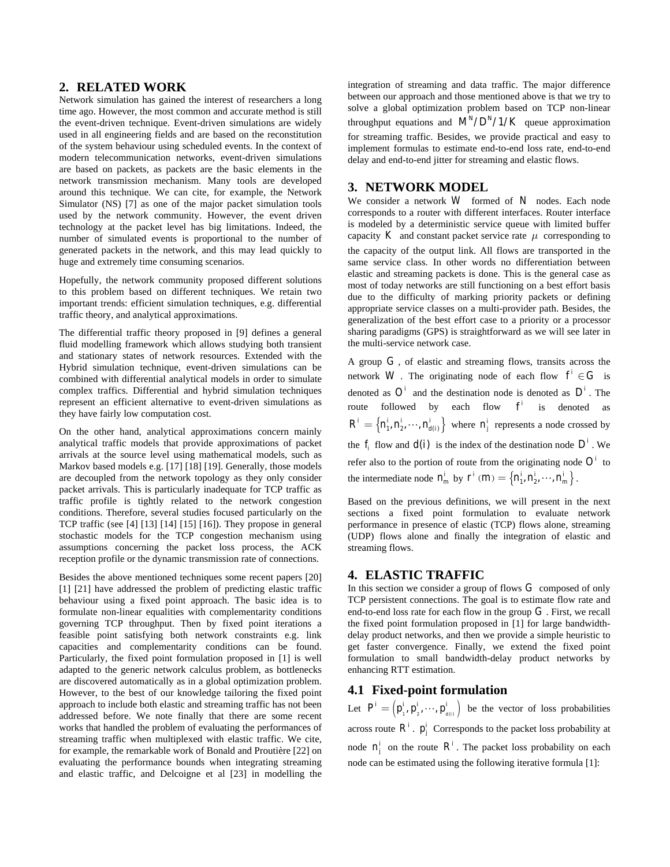#### **2. RELATED WORK**

Network simulation has gained the interest of researchers a long time ago. However, the most common and accurate method is still the event-driven technique. Event-driven simulations are widely used in all engineering fields and are based on the reconstitution of the system behaviour using scheduled events. In the context of modern telecommunication networks, event-driven simulations are based on packets, as packets are the basic elements in the network transmission mechanism. Many tools are developed around this technique. We can cite, for example, the Network Simulator (NS) [7] as one of the major packet simulation tools used by the network community. However, the event driven technology at the packet level has big limitations. Indeed, the number of simulated events is proportional to the number of generated packets in the network, and this may lead quickly to huge and extremely time consuming scenarios.

Hopefully, the network community proposed different solutions to this problem based on different techniques. We retain two important trends: efficient simulation techniques, e.g. differential traffic theory, and analytical approximations.

The differential traffic theory proposed in [9] defines a general fluid modelling framework which allows studying both transient and stationary states of network resources. Extended with the Hybrid simulation technique, event-driven simulations can be combined with differential analytical models in order to simulate complex traffics. Differential and hybrid simulation techniques represent an efficient alternative to event-driven simulations as they have fairly low computation cost.

On the other hand, analytical approximations concern mainly analytical traffic models that provide approximations of packet arrivals at the source level using mathematical models, such as Markov based models e.g. [17] [18] [19]. Generally, those models are decoupled from the network topology as they only consider packet arrivals. This is particularly inadequate for TCP traffic as traffic profile is tightly related to the network congestion conditions. Therefore, several studies focused particularly on the TCP traffic (see [4] [13] [14] [15] [16]). They propose in general stochastic models for the TCP congestion mechanism using assumptions concerning the packet loss process, the ACK reception profile or the dynamic transmission rate of connections.

Besides the above mentioned techniques some recent papers [20] [1] [21] have addressed the problem of predicting elastic traffic behaviour using a fixed point approach. The basic idea is to formulate non-linear equalities with complementarity conditions governing TCP throughput. Then by fixed point iterations a feasible point satisfying both network constraints e.g. link capacities and complementarity conditions can be found. Particularly, the fixed point formulation proposed in [1] is well adapted to the generic network calculus problem, as bottlenecks are discovered automatically as in a global optimization problem. However, to the best of our knowledge tailoring the fixed point approach to include both elastic and streaming traffic has not been addressed before. We note finally that there are some recent works that handled the problem of evaluating the performances of streaming traffic when multiplexed with elastic traffic. We cite, for example, the remarkable work of Bonald and Proutière [22] on evaluating the performance bounds when integrating streaming and elastic traffic, and Delcoigne et al [23] in modelling the integration of streaming and data traffic. The major difference between our approach and those mentioned above is that we try to solve a global optimization problem based on TCP non-linear throughput equations and  $M^N/D^N/1/K$  queue approximation for streaming traffic. Besides, we provide practical and easy to implement formulas to estimate end-to-end loss rate, end-to-end delay and end-to-end jitter for streaming and elastic flows.

# **3. NETWORK MODEL**

We consider a network  $W$  formed of  $N$  nodes. Each node corresponds to a router with different interfaces. Router interface is modeled by a deterministic service queue with limited buffer capacity K and constant packet service rate  $\mu$  corresponding to the capacity of the output link. All flows are transported in the same service class. In other words no differentiation between elastic and streaming packets is done. This is the general case as most of today networks are still functioning on a best effort basis due to the difficulty of marking priority packets or defining appropriate service classes on a multi-provider path. Besides, the generalization of the best effort case to a priority or a processor sharing paradigms (GPS) is straightforward as we will see later in the multi-service network case.

A group *G ,* of elastic and streaming flows, transits across the network *W*. The originating node of each flow  $f' \in G$  is denoted as  $O^i$  and the destination node is denoted as  $D^i$ . The route followed by each flow  $f^i$  is denoted as  $R^i = \left\{ n_1^i, n_2^i, \dots, n_{d(i)}^i \right\}$  where  $n_j^i$  represents a node crossed by the  $f_i$  flow and  $d(i)$  is the index of the destination node  $D^i$ . We refer also to the portion of route from the originating node  $O<sup>i</sup>$  to the intermediate node  $n_m^i$  by  $r^i$  (*m*) =  $\{n_1^i, n_2^i, \dots, n_m^i\}$ .

Based on the previous definitions, we will present in the next sections a fixed point formulation to evaluate network performance in presence of elastic (TCP) flows alone, streaming (UDP) flows alone and finally the integration of elastic and streaming flows.

#### **4. ELASTIC TRAFFIC**

In this section we consider a group of flows *G* composed of only TCP persistent connections. The goal is to estimate flow rate and end-to-end loss rate for each flow in the group *G* . First, we recall the fixed point formulation proposed in [1] for large bandwidthdelay product networks, and then we provide a simple heuristic to get faster convergence. Finally, we extend the fixed point formulation to small bandwidth-delay product networks by enhancing RTT estimation.

#### **4.1 Fixed-point formulation**

Let  $P^i = (p_i^i, p_i^j, \dots, p_{d(i)}^i)$  be the vector of loss probabilities across route  $R^i$ .  $p^i_j$  Corresponds to the packet loss probability at node  $n_i^i$  on the route  $R^i$ . The packet loss probability on each node can be estimated using the following iterative formula [1]: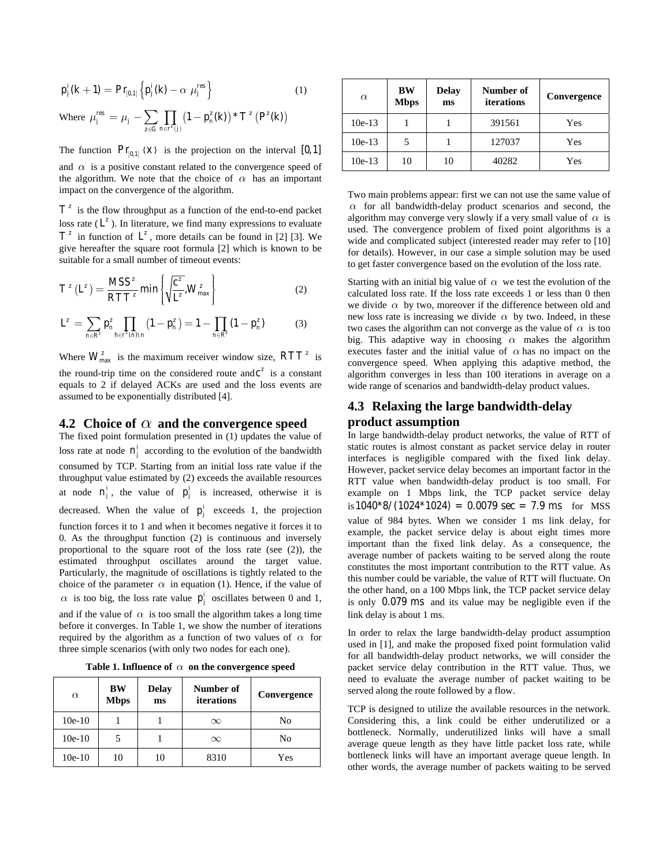$$
p_j^i(k+1) = \Pr_{[0,1]} \left\{ p_j^i(k) - \alpha \mu_j^{res} \right\} \tag{1}
$$

Where 
$$
\mu_j^{res} = \mu_j - \sum_{z \in G} \prod_{n \in r^z(j)} (1 - p_n^z(k)) * T^z(P^z(k))
$$

The function  $\Pr_{[0,1]} \{X\}$  is the projection on the interval [0, 1] and  $\alpha$  is a positive constant related to the convergence speed of the algorithm. We note that the choice of  $\alpha$  has an important impact on the convergence of the algorithm.

 $T^z$  is the flow throughput as a function of the end-to-end packet loss rate  $(L^z)$ . In literature, we find many expressions to evaluate  $T^z$  in function of  $L^z$ , more details can be found in [2] [3]. We give hereafter the square root formula [2] which is known to be suitable for a small number of timeout events:

$$
T^{z}\left(L^{z}\right) = \frac{MSS^{z}}{RTT^{z}} \min\left\{\sqrt{\frac{c^{z}}{L^{z}}}, W_{\text{max}}^{z}\right\}
$$
 (2)

$$
L^z = \sum_{n \in \mathcal{R}^z} p_n^z \prod_{h \in \mathcal{I}^z(n) \setminus n} \left(1 - p_h^z\right) = 1 - \prod_{n \in \mathcal{R}^z} \left(1 - p_n^z\right) \tag{3}
$$

Where  $W_{\text{max}}^z$  is the maximum receiver window size,  $RTT^z$  is the round-trip time on the considered route and  $c^z$  is a constant equals to 2 if delayed ACKs are used and the loss events are assumed to be exponentially distributed [4].

#### **4.2 Choice of** *α* **and the convergence speed**

The fixed point formulation presented in (1) updates the value of loss rate at node  $n_j^i$  according to the evolution of the bandwidth consumed by TCP. Starting from an initial loss rate value if the throughput value estimated by (2) exceeds the available resources at node  $n_j^i$ , the value of  $p_j^i$  is increased, otherwise it is decreased. When the value of  $p_j^i$  exceeds 1, the projection function forces it to 1 and when it becomes negative it forces it to 0. As the throughput function (2) is continuous and inversely proportional to the square root of the loss rate (see (2)), the estimated throughput oscillates around the target value. Particularly, the magnitude of oscillations is tightly related to the choice of the parameter  $\alpha$  in equation (1). Hence, if the value of  $\alpha$  is too big, the loss rate value  $p_j^i$  oscillates between 0 and 1, and if the value of  $\alpha$  is too small the algorithm takes a long time before it converges. In Table 1, we show the number of iterations required by the algorithm as a function of two values of  $\alpha$  for three simple scenarios (with only two nodes for each one).

**Table 1. Influence of** *α* **on the convergence speed** 

| $\alpha$ | <b>BW</b><br><b>Mbps</b> | <b>Delay</b><br>ms | Number of<br>iterations | Convergence    |
|----------|--------------------------|--------------------|-------------------------|----------------|
| $10e-10$ |                          |                    | $\infty$                | No             |
| $10e-10$ |                          |                    | $\infty$                | N <sub>0</sub> |
| $10e-10$ | 10                       | 10                 | 8310                    | Yes            |

| $\alpha$ | <b>BW</b><br><b>Mbps</b> | <b>Delay</b><br>ms | Number of<br>iterations | Convergence |
|----------|--------------------------|--------------------|-------------------------|-------------|
| $10e-13$ |                          |                    | 391561                  | Yes         |
| $10e-13$ | 5                        |                    | 127037                  | Yes         |
| $10e-13$ | 10                       | 10                 | 40282                   | Yes         |

Two main problems appear: first we can not use the same value of  $\alpha$  for all bandwidth-delay product scenarios and second, the algorithm may converge very slowly if a very small value of  $\alpha$  is used. The convergence problem of fixed point algorithms is a wide and complicated subject (interested reader may refer to [10] for details). However, in our case a simple solution may be used to get faster convergence based on the evolution of the loss rate.

Starting with an initial big value of  $\alpha$  we test the evolution of the calculated loss rate. If the loss rate exceeds 1 or less than 0 then we divide  $\alpha$  by two, moreover if the difference between old and new loss rate is increasing we divide  $\alpha$  by two. Indeed, in these two cases the algorithm can not converge as the value of  $\alpha$  is too big. This adaptive way in choosing  $\alpha$  makes the algorithm executes faster and the initial value of *α* has no impact on the convergence speed. When applying this adaptive method, the algorithm converges in less than 100 iterations in average on a wide range of scenarios and bandwidth-delay product values.

# **4.3 Relaxing the large bandwidth-delay product assumption**

In large bandwidth-delay product networks, the value of RTT of static routes is almost constant as packet service delay in router interfaces is negligible compared with the fixed link delay. However, packet service delay becomes an important factor in the RTT value when bandwidth-delay product is too small. For example on 1 Mbps link, the TCP packet service delay is  $1040*8/(1024*1024) = 0.0079$  sec = 7.9 ms for MSS value of 984 bytes. When we consider 1 ms link delay, for example, the packet service delay is about eight times more important than the fixed link delay. As a consequence, the average number of packets waiting to be served along the route constitutes the most important contribution to the RTT value. As this number could be variable, the value of RTT will fluctuate. On the other hand, on a 100 Mbps link, the TCP packet service delay is only 0.079 ms and its value may be negligible even if the link delay is about 1 ms.

In order to relax the large bandwidth-delay product assumption used in [1], and make the proposed fixed point formulation valid for all bandwidth-delay product networks, we will consider the packet service delay contribution in the RTT value. Thus, we need to evaluate the average number of packet waiting to be served along the route followed by a flow.

TCP is designed to utilize the available resources in the network. Considering this, a link could be either underutilized or a bottleneck. Normally, underutilized links will have a small average queue length as they have little packet loss rate, while bottleneck links will have an important average queue length. In other words, the average number of packets waiting to be served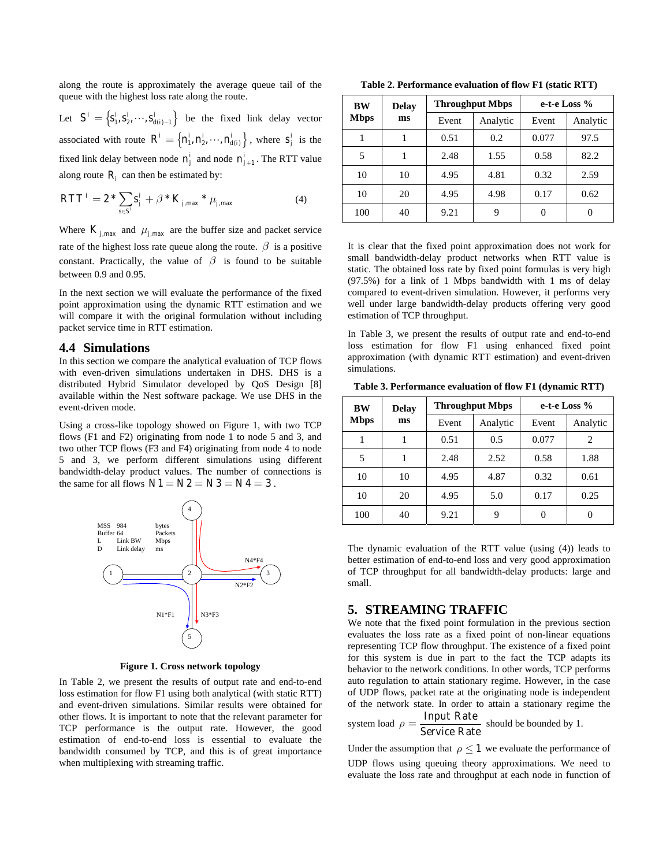along the route is approximately the average queue tail of the queue with the highest loss rate along the route.

Let  $S' = \left\{ s_1^i, s_2^i, \dots, s_{d(i)-1}^i \right\}$  be the fixed link delay vector associated with route  $R^i = \left\{ n_1^i, n_2^i, \dots, n_{d(i)}^i \right\}$ , where  $s_j^i$  is the fixed link delay between node  $n_j^i$  and node  $n_{j+1}^i$ . The RTT value along route  $R_i$  can then be estimated by:

$$
RTT^{i} = 2 * \sum_{s \in S^{i}} S_{j}^{i} + \beta * K_{j, \max} * \mu_{j, \max}
$$
 (4)

Where  $K_{j, \text{max}}$  and  $\mu_{j, \text{max}}$  are the buffer size and packet service rate of the highest loss rate queue along the route.  $\beta$  is a positive constant. Practically, the value of  $\beta$  is found to be suitable between 0.9 and 0.95.

In the next section we will evaluate the performance of the fixed point approximation using the dynamic RTT estimation and we will compare it with the original formulation without including packet service time in RTT estimation.

#### **4.4 Simulations**

In this section we compare the analytical evaluation of TCP flows with even-driven simulations undertaken in DHS. DHS is a distributed Hybrid Simulator developed by QoS Design [8] available within the Nest software package. We use DHS in the event-driven mode.

the same for all flows  $N1 = N2 = N3 = N4 = 3$ . Using a cross-like topology showed on Figure 1, with two TCP flows (F1 and F2) originating from node 1 to node 5 and 3, and two other TCP flows (F3 and F4) originating from node 4 to node 5 and 3, we perform different simulations using different bandwidth-delay product values. The number of connections is



**Figure 1. Cross network topology** 

In Table 2, we present the results of output rate and end-to-end loss estimation for flow F1 using both analytical (with static RTT) and event-driven simulations. Similar results were obtained for other flows. It is important to note that the relevant parameter for TCP performance is the output rate. However, the good estimation of end-to-end loss is essential to evaluate the bandwidth consumed by TCP, and this is of great importance when multiplexing with streaming traffic.

**Table 2. Performance evaluation of flow F1 (static RTT)** 

| <b>BW</b><br>Mbps | <b>Delay</b><br>ms |       | <b>Throughput Mbps</b> | e-t-e Loss % |          |  |
|-------------------|--------------------|-------|------------------------|--------------|----------|--|
|                   |                    | Event | Analytic               | Event        | Analytic |  |
|                   |                    | 0.51  | 0.2                    | 0.077        | 97.5     |  |
| 5                 |                    | 2.48  | 1.55                   | 0.58         | 82.2     |  |
| 10                | 10                 | 4.95  | 4.81                   | 0.32         | 2.59     |  |
| 10                | 20                 | 4.95  | 4.98                   | 0.17         | 0.62     |  |
| 100               | 40                 | 9.21  | 9                      | 0            | O        |  |

It is clear that the fixed point approximation does not work for small bandwidth-delay product networks when RTT value is static. The obtained loss rate by fixed point formulas is very high (97.5%) for a link of 1 Mbps bandwidth with 1 ms of delay compared to event-driven simulation. However, it performs very well under large bandwidth-delay products offering very good estimation of TCP throughput.

In Table 3, we present the results of output rate and end-to-end loss estimation for flow F1 using enhanced fixed point approximation (with dynamic RTT estimation) and event-driven simulations.

**Table 3. Performance evaluation of flow F1 (dynamic RTT)** 

| BW<br><b>Mbps</b> | <b>Delay</b> |       | <b>Throughput Mbps</b> | e-t-e Loss % |          |  |
|-------------------|--------------|-------|------------------------|--------------|----------|--|
|                   | ms           | Event | Analytic               | Event        | Analytic |  |
|                   |              | 0.51  | 0.5                    | 0.077        | 2        |  |
| 5                 |              | 2.48  | 2.52                   | 0.58         | 1.88     |  |
| 10                | 10           | 4.95  | 4.87                   | 0.32         | 0.61     |  |
| 10                | 20           | 4.95  | 5.0                    | 0.17         | 0.25     |  |
| 100               | 40           | 9.21  | 9                      | 0            | 0        |  |

The dynamic evaluation of the RTT value (using (4)) leads to better estimation of end-to-end loss and very good approximation of TCP throughput for all bandwidth-delay products: large and small.

#### **5. STREAMING TRAFFIC**

We note that the fixed point formulation in the previous section evaluates the loss rate as a fixed point of non-linear equations representing TCP flow throughput. The existence of a fixed point for this system is due in part to the fact the TCP adapts its behavior to the network conditions. In other words, TCP performs auto regulation to attain stationary regime. However, in the case of UDP flows, packet rate at the originating node is independent of the network state. In order to attain a stationary regime the

system load 
$$
\rho = \frac{\text{Input Rate}}{\text{Service Rate}}
$$
 should be bounded by 1.

Under the assumption that  $\rho \leq 1$  we evaluate the performance of UDP flows using queuing theory approximations. We need to evaluate the loss rate and throughput at each node in function of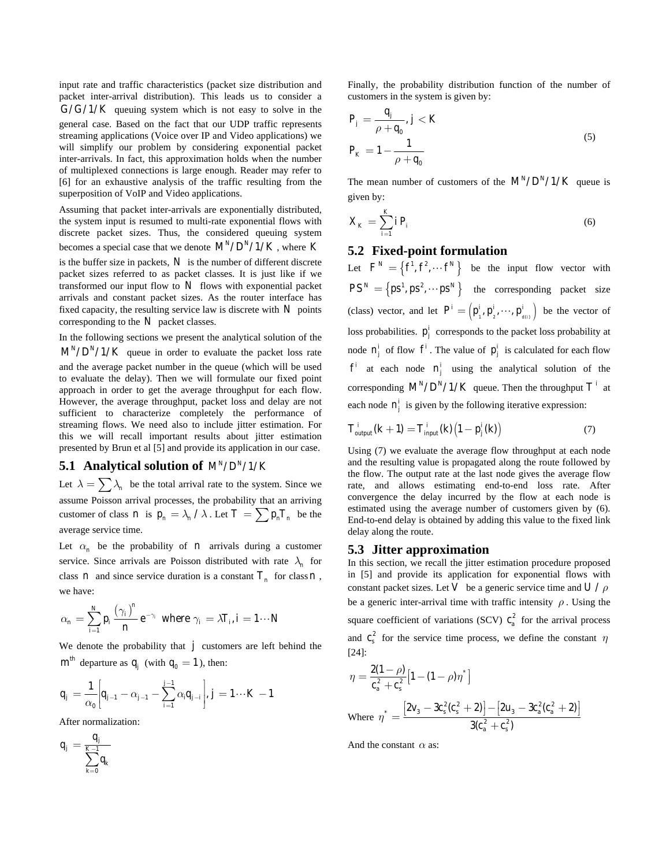input rate and traffic characteristics (packet size distribution and packet inter-arrival distribution). This leads us to consider a  $G/G/1/K$  queuing system which is not easy to solve in the general case. Based on the fact that our UDP traffic represents streaming applications (Voice over IP and Video applications) we will simplify our problem by considering exponential packet inter-arrivals. In fact, this approximation holds when the number of multiplexed connections is large enough. Reader may refer to [6] for an exhaustive analysis of the traffic resulting from the superposition of VoIP and Video applications.

Assuming that packet inter-arrivals are exponentially distributed, the system input is resumed to multi-rate exponential flows with discrete packet sizes. Thus, the considered queuing system becomes a special case that we denote  $M^N/D^N/1/K$  , where *K* is the buffer size in packets, *N* is the number of different discrete packet sizes referred to as packet classes. It is just like if we transformed our input flow to  $N$  flows with exponential packet arrivals and constant packet sizes. As the router interface has fixed capacity, the resulting service law is discrete with  $N$  points corresponding to the *N* packet classes.

In the following sections we present the analytical solution of the  $M^N/D^N/1/K$  queue in order to evaluate the packet loss rate and the average packet number in the queue (which will be used to evaluate the delay). Then we will formulate our fixed point approach in order to get the average throughput for each flow. However, the average throughput, packet loss and delay are not sufficient to characterize completely the performance of streaming flows. We need also to include jitter estimation. For this we will recall important results about jitter estimation presented by Brun et al [5] and provide its application in our case.

# **5.1 Analytical solution of**  $M^N/D^N/1/K$

Let  $\lambda = \sum \lambda_n$  be the total arrival rate to the system. Since we assume Poisson arrival processes, the probability that an arriving customer of class *n* is  $p_n = \lambda_n / \lambda$ . Let  $T = \sum p_n T_n$  be the average service time.

Let  $\alpha_n$  be the probability of *n* arrivals during a customer service. Since arrivals are Poisson distributed with rate  $\lambda_n$  for class *n* and since service duration is a constant  $T_n$  for class *n*, we have:

$$
\alpha_n = \sum_{i=1}^N p_i \frac{(\gamma_i)^n}{n} e^{-\gamma_i} \text{ where } \gamma_i = \lambda T_i, i = 1 \cdots N
$$

We denote the probability that  $j$  customers are left behind the  $m<sup>th</sup>$  departure as  $q_i$  (with  $q_0 = 1$ ), then:

$$
q_{j} = \frac{1}{\alpha_{0}} \bigg[ q_{j-1} - \alpha_{j-1} - \sum_{i=1}^{j-1} \alpha_{i} q_{j-i} \bigg], j = 1 \cdots K - 1
$$

After normalization:

$$
q_j = \frac{q_j}{\sum_{k=0}^{K-1} q_k}
$$

Finally, the probability distribution function of the number of customers in the system is given by:

$$
P_j = \frac{q_j}{\rho + q_0}, j < K
$$
\n
$$
P_K = 1 - \frac{1}{\rho + q_0} \tag{5}
$$

The mean number of customers of the  $M^N/D^N/1/K$  queue is given by:

$$
X_K = \sum_{i=1}^K i P_i \tag{6}
$$

#### **5.2 Fixed-point formulation**

Let  $F^N = \left\{ f^1, f^2, \dots, f^N \right\}$  be the input flow vector with  $PS^N = \{ps^1, ps^2, \cdots ps^N\}$  the corresponding packet size (class) vector, and let  $P^i = (p_1^i, p_2^i, \dots, p_{d(i)}^i)$  be the vector of loss probabilities.  $p_j^i$  corresponds to the packet loss probability at node  $n_j^i$  of flow  $f^i$ . The value of  $p_j^i$  is calculated for each flow  $f^i$  at each node  $n_j^i$  using the analytical solution of the corresponding  $M^N/D^N/1/K$  queue. Then the throughput  $T^i$  at each node  $n_j^i$  is given by the following iterative expression:

$$
T_{\text{output}}^i(k+1) = T_{\text{input}}^i(k)\left(1 - p_j^i(k)\right) \tag{7}
$$

Using (7) we evaluate the average flow throughput at each node and the resulting value is propagated along the route followed by the flow. The output rate at the last node gives the average flow rate, and allows estimating end-to-end loss rate. After convergence the delay incurred by the flow at each node is estimated using the average number of customers given by (6). End-to-end delay is obtained by adding this value to the fixed link delay along the route.

#### **5.3 Jitter approximation**

In this section, we recall the jitter estimation procedure proposed in [5] and provide its application for exponential flows with constant packet sizes. Let V be a generic service time and  $U/\rho$ be a generic inter-arrival time with traffic intensity  $\rho$ . Using the square coefficient of variations (SCV)  $c_a^2$  for the arrival process and  $c_s^2$  for the service time process, we define the constant *η* [24]:

$$
\eta = \frac{2(1-\rho)}{c_a^2 + c_s^2} \left[ 1 - (1-\rho)\eta^* \right]
$$
  
Where 
$$
\eta^* = \frac{\left[ 2v_3 - 3c_s^2(c_s^2 + 2) \right] - \left[ 2u_3 - 3c_a^2(c_a^2 + 2) \right]}{3(c_a^2 + c_s^2)}
$$

And the constant *α* as: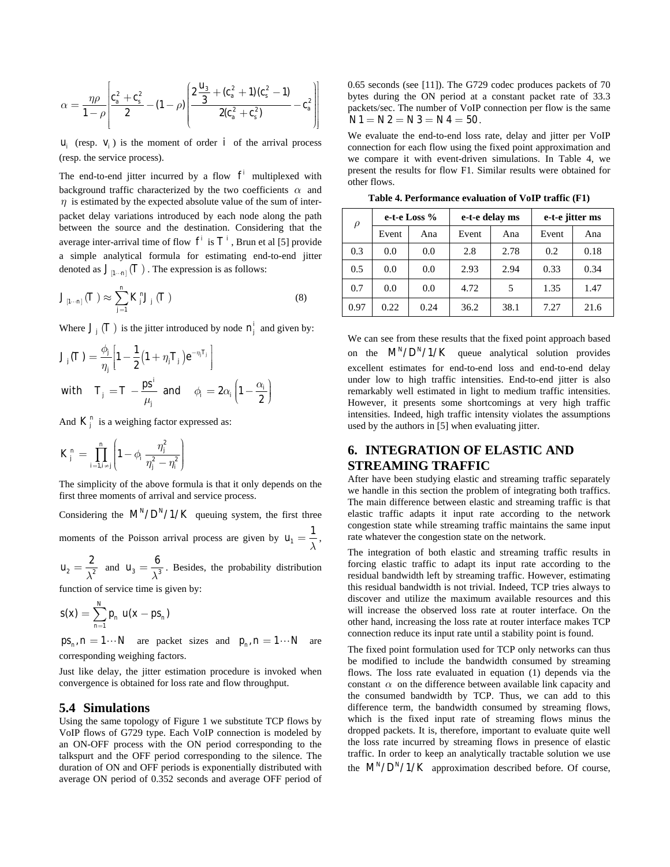$$
\alpha = \frac{\eta \rho}{1 - \rho} \left[ \frac{c_a^2 + c_s^2}{2} - (1 - \rho) \left( \frac{2 \frac{u_3}{3} + (c_a^2 + 1)(c_s^2 - 1)}{2(c_a^2 + c_s^2)} - c_a^2 \right) \right]
$$

 $u_i$  (resp.  $v_i$ ) is the moment of order *i* of the arrival process (resp. the service process).

The end-to-end jitter incurred by a flow  $f^i$  multiplexed with background traffic characterized by the two coefficients *α* and  $\eta$  is estimated by the expected absolute value of the sum of interpacket delay variations introduced by each node along the path between the source and the destination. Considering that the average inter-arrival time of flow  $f^i$  is  $T^i$ , Brun et al [5] provide a simple analytical formula for estimating end-to-end jitter denoted as  $J_{[1\cdots n]}(T)$ . The expression is as follows:

$$
J_{\left[1\cdots n\right]}\left(T\right) \approx \sum_{j=1}^{n} K_{j}^{n} J_{j}\left(T\right) \tag{8}
$$

Where  $J_i(T)$  is the jitter introduced by node  $n_i^j$  and given by:

$$
J_j(T) = \frac{\phi_j}{\eta_j} \left[ 1 - \frac{1}{2} \left( 1 + \eta_j T_j \right) e^{-\eta_j T_j} \right]
$$
  
with 
$$
T_j = T - \frac{ps^i}{\mu_j} \text{ and } \phi_i = 2\alpha_i \left( 1 - \frac{\alpha_i}{2} \right)
$$

And  $K_j^n$  is a weighing factor expressed as:

$$
K_j^n = \prod_{i=1, i \neq j}^n \left(1 - \phi_i \frac{\eta_j^2}{\eta_j^2 - \eta_i^2}\right)
$$

The simplicity of the above formula is that it only depends on the first three moments of arrival and service process.

Considering the  $M^N/D^N/1/K$  queuing system, the first three moments of the Poisson arrival process are given by  $u_1$  $u_1 = \frac{1}{\lambda}$ ,

 $2 - \sqrt{2}$  $u_2 = \frac{2}{\lambda^2}$  and  $u_3 = \frac{6}{\lambda^3}$ . Besides, the probability distribution

function of service time is given by:

$$
s(x) = \sum_{n=1}^{N} p_n u(x - ps_n)
$$

 $ps_n$ ,  $n = 1 \cdots N$  are packet sizes and  $p_n$ ,  $n = 1 \cdots N$  are corresponding weighing factors.

Just like delay, the jitter estimation procedure is invoked when convergence is obtained for loss rate and flow throughput.

#### **5.4 Simulations**

Using the same topology of Figure 1 we substitute TCP flows by VoIP flows of G729 type. Each VoIP connection is modeled by an ON-OFF process with the ON period corresponding to the talkspurt and the OFF period corresponding to the silence. The duration of ON and OFF periods is exponentially distributed with average ON period of 0.352 seconds and average OFF period of 0.65 seconds (see [11]). The G729 codec produces packets of 70 bytes during the ON period at a constant packet rate of 33.3 packets/sec. The number of VoIP connection per flow is the same  $N1 = N2 = N3 = N4 = 50$ .

We evaluate the end-to-end loss rate, delay and jitter per VoIP connection for each flow using the fixed point approximation and we compare it with event-driven simulations. In Table 4, we present the results for flow F1. Similar results were obtained for other flows.

**Table 4. Performance evaluation of VoIP traffic (F1)** 

| $\rho$ | e-t-e Loss % |      | e-t-e delay ms |      | e-t-e jitter ms |      |
|--------|--------------|------|----------------|------|-----------------|------|
|        | Event        | Ana  | Event          | Ana  | Event           | Ana  |
| 0.3    | 0.0          | 0.0  | 2.8            | 2.78 | 0.2             | 0.18 |
| 0.5    | 0.0          | 0.0  | 2.93           | 2.94 | 0.33            | 0.34 |
| 0.7    | 0.0          | 0.0  | 4.72           | 5    | 1.35            | 1.47 |
| 0.97   | 0.22         | 0.24 | 36.2           | 38.1 | 7.27            | 21.6 |

We can see from these results that the fixed point approach based on the  $M^N/D^N/1/K$  queue analytical solution provides excellent estimates for end-to-end loss and end-to-end delay under low to high traffic intensities. End-to-end jitter is also remarkably well estimated in light to medium traffic intensities. However, it presents some shortcomings at very high traffic intensities. Indeed, high traffic intensity violates the assumptions used by the authors in [5] when evaluating jitter.

# **6. INTEGRATION OF ELASTIC AND STREAMING TRAFFIC**

After have been studying elastic and streaming traffic separately we handle in this section the problem of integrating both traffics. The main difference between elastic and streaming traffic is that elastic traffic adapts it input rate according to the network congestion state while streaming traffic maintains the same input rate whatever the congestion state on the network.

The integration of both elastic and streaming traffic results in forcing elastic traffic to adapt its input rate according to the residual bandwidth left by streaming traffic. However, estimating this residual bandwidth is not trivial. Indeed, TCP tries always to discover and utilize the maximum available resources and this will increase the observed loss rate at router interface. On the other hand, increasing the loss rate at router interface makes TCP connection reduce its input rate until a stability point is found.

The fixed point formulation used for TCP only networks can thus be modified to include the bandwidth consumed by streaming flows. The loss rate evaluated in equation (1) depends via the constant  $\alpha$  on the difference between available link capacity and the consumed bandwidth by TCP. Thus, we can add to this difference term, the bandwidth consumed by streaming flows, which is the fixed input rate of streaming flows minus the dropped packets. It is, therefore, important to evaluate quite well the loss rate incurred by streaming flows in presence of elastic traffic. In order to keep an analytically tractable solution we use the  $M^N/D^N/1/K$  approximation described before. Of course,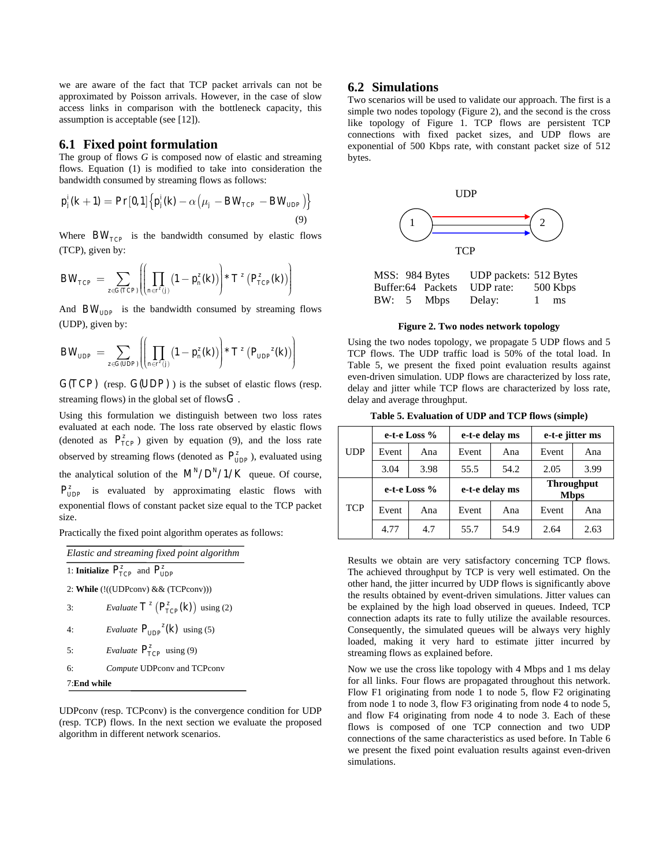we are aware of the fact that TCP packet arrivals can not be **6.2 Simulations**  approximated by Poisson arrivals. However, in the case of slow access links in comparison with the bottleneck capacity, this assumption is acceptable (see [12]).

#### **6.1 Fixed point formulation**

The group of flows *G* is composed now of elastic and streaming flows. Equation (1) is modified to take into consideration the bandwidth consumed by streaming flows as follows:

$$
p_j'(k+1) = \Pr[0,1] \{ p_j'(k) - \alpha \left( \mu_j - BW_{TCP} - BW_{UDP} \right) \}
$$
\n(9)

Where  $BW_{TCP}$  is the bandwidth consumed by elastic flows (TCP), given by:

$$
BW_{TCP} = \sum_{z \in G(TCP)} \left( \left( \prod_{n \in r^z(j)} \left( 1 - p_n^z(k) \right) \right) * T^z \left( P_{TCP}^z(k) \right) \right)
$$

And  $BW_{\text{UDP}}$  is the bandwidth consumed by streaming flows (UDP), given by:

$$
BW_{\text{UDP}} = \sum_{z \in G(\text{UDP})} \left( \left( \prod_{n \in r^{z}(j)} \left( 1 - p_{n}^{z}(k) \right) \right) * T^{z} \left( P_{\text{UDP}}^{z}(k) \right) \right)
$$

 $G(TCP)$  (resp.  $G(UDP)$ ) is the subset of elastic flows (resp. streaming flows) in the global set of flows*G* .

Using this formulation we distinguish between two loss rates evaluated at each node. The loss rate observed by elastic flows (denoted as  $P_{TCP}^z$ ) given by equation (9), and the loss rate observed by streaming flows (denoted as  $P_{\text{UDP}}^{\text{z}}$ ), evaluated using the analytical solution of the  $M<sup>N</sup>/D<sup>N</sup>/1/K$  queue. Of course,  $P_{\text{UDP}}^z$  is evaluated by approximating elastic flows with exponential flows of constant packet size equal to the TCP packet size.

Practically the fixed point algorithm operates as follows:

| Elastic and streaming fixed point algorithm                    |                                                      |  |  |  |  |
|----------------------------------------------------------------|------------------------------------------------------|--|--|--|--|
| 1: <b>Initialize</b> $P_{\text{TCP}}^z$ and $P_{\text{IDP}}^z$ |                                                      |  |  |  |  |
| 2: While (!((UDPconv) & & (TCPconv)))                          |                                                      |  |  |  |  |
| 3:                                                             | <i>Evaluate</i> $T^z(P_{\text{TCP}}^z(k))$ using (2) |  |  |  |  |
| 4.                                                             | <i>Evaluate</i> $P_{IDP}^z(k)$ using (5)             |  |  |  |  |
| 5.                                                             | <i>Evaluate</i> $P_{\text{TCP}}^z$ using (9)         |  |  |  |  |
| 6:                                                             | Compute UDPconv and TCPconv                          |  |  |  |  |
| 7:End while                                                    |                                                      |  |  |  |  |

UDPconv (resp. TCPconv) is the convergence condition for UDP (resp. TCP) flows. In the next section we evaluate the proposed algorithm in different network scenarios.

Two scenarios will be used to validate our approach. The first is a simple two nodes topology (Figure 2), and the second is the cross like topology of Figure 1. TCP flows are persistent TCP connections with fixed packet sizes, and UDP flows are exponential of 500 Kbps rate, with constant packet size of 512 bytes.



| MSS: 984 Bytes |                   | UDP packets: 512 Bytes |     |          |
|----------------|-------------------|------------------------|-----|----------|
|                | Buffer:64 Packets | UDP rate:              |     | 500 Kbps |
| BW: 5          | <b>Mbps</b>       | Delay:                 | -11 | ms       |

**Figure 2. Two nodes network topology** 

Using the two nodes topology, we propagate 5 UDP flows and 5 TCP flows. The UDP traffic load is 50% of the total load. In Table 5, we present the fixed point evaluation results against even-driven simulation. UDP flows are characterized by loss rate, delay and jitter while TCP flows are characterized by loss rate, delay and average throughput.

**Table 5. Evaluation of UDP and TCP flows (simple)** 

|            | e-t-e Loss % |      | e-t-e delay ms |      | e-t-e jitter ms                  |      |
|------------|--------------|------|----------------|------|----------------------------------|------|
| <b>UDP</b> | Event        | Ana  | Event          | Ana  | Event                            | Ana  |
|            | 3.04         | 3.98 | 55.5           | 54.2 | 2.05                             | 3.99 |
|            | e-t-e Loss % |      | e-t-e delay ms |      | <b>Throughput</b><br><b>Mbps</b> |      |
| <b>TCP</b> | Event        | Ana  | Event          | Ana  | Event                            | Ana  |
|            | 4.77         | 4.7  | 55.7           | 54.9 | 2.64                             | 2.63 |

Results we obtain are very satisfactory concerning TCP flows. The achieved throughput by TCP is very well estimated. On the other hand, the jitter incurred by UDP flows is significantly above the results obtained by event-driven simulations. Jitter values can be explained by the high load observed in queues. Indeed, TCP connection adapts its rate to fully utilize the available resources. Consequently, the simulated queues will be always very highly loaded, making it very hard to estimate jitter incurred by streaming flows as explained before.

Now we use the cross like topology with 4 Mbps and 1 ms delay for all links. Four flows are propagated throughout this network. Flow F1 originating from node 1 to node 5, flow F2 originating from node 1 to node 3, flow F3 originating from node 4 to node 5, and flow F4 originating from node 4 to node 3. Each of these flows is composed of one TCP connection and two UDP connections of the same characteristics as used before. In Table 6 we present the fixed point evaluation results against even-driven simulations.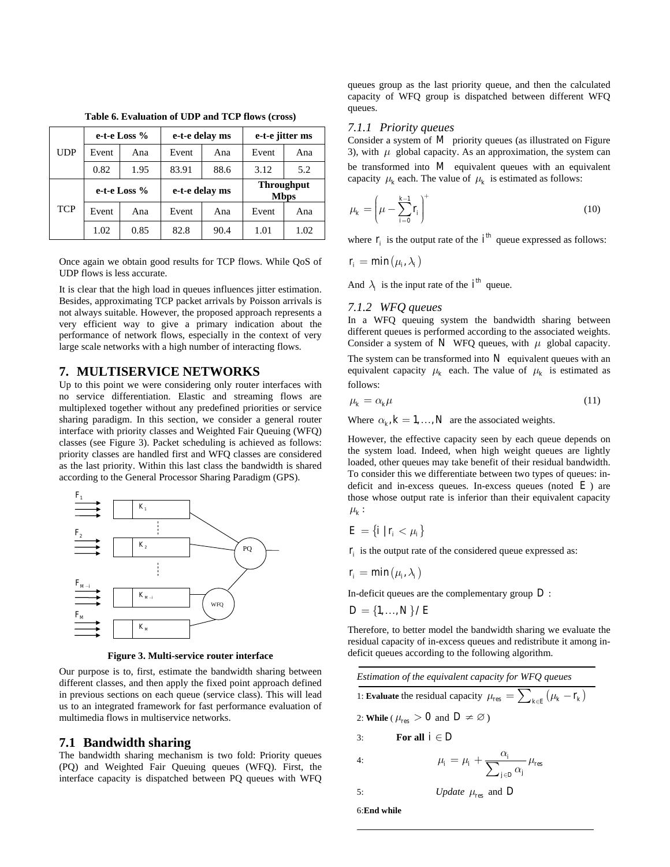|            | e-t-e Loss $%$ |      | e-t-e delay ms |      | e-t-e jitter ms                  |      |
|------------|----------------|------|----------------|------|----------------------------------|------|
| UDP        | Event          | Ana  | Event          | Ana  | Event                            | Ana  |
|            | 0.82           | 1.95 | 83.91          | 88.6 | 3.12                             | 5.2  |
| <b>TCP</b> | e-t-e Loss $%$ |      | e-t-e delay ms |      | <b>Throughput</b><br><b>Mbps</b> |      |
|            | Event          | Ana  | Event          | Ana  | Event                            | Ana  |
|            | 1.02           | 0.85 | 82.8           | 90.4 | 1.01                             | 1.02 |

**Table 6. Evaluation of UDP and TCP flows (cross)** 

Once again we obtain good results for TCP flows. While QoS of UDP flows is less accurate.

It is clear that the high load in queues influences jitter estimation. Besides, approximating TCP packet arrivals by Poisson arrivals is not always suitable. However, the proposed approach represents a very efficient way to give a primary indication about the performance of network flows, especially in the context of very large scale networks with a high number of interacting flows.

#### **7. MULTISERVICE NETWORKS**

Up to this point we were considering only router interfaces with no service differentiation. Elastic and streaming flows are multiplexed together without any predefined priorities or service sharing paradigm. In this section, we consider a general router interface with priority classes and Weighted Fair Queuing (WFQ) classes (see Figure 3). Packet scheduling is achieved as follows: priority classes are handled first and WFQ classes are considered as the last priority. Within this last class the bandwidth is shared according to the General Processor Sharing Paradigm (GPS).



**Figure 3. Multi-service router interface** 

Our purpose is to, first, estimate the bandwidth sharing between different classes, and then apply the fixed point approach defined in previous sections on each queue (service class). This will lead us to an integrated framework for fast performance evaluation of multimedia flows in multiservice networks.

#### **7.1 Bandwidth sharing**

The bandwidth sharing mechanism is two fold: Priority queues (PQ) and Weighted Fair Queuing queues (WFQ). First, the interface capacity is dispatched between PQ queues with WFQ queues group as the last priority queue, and then the calculated capacity of WFQ group is dispatched between different WFQ queues.

#### *7.1.1 Priority queues*

Consider a system of *M* priority queues (as illustrated on Figure 3), with  $\mu$  global capacity. As an approximation, the system can be transformed into *M* equivalent queues with an equivalent capacity  $\mu_k$  each. The value of  $\mu_k$  is estimated as follows:

$$
\mu_k = \left(\mu - \sum_{i=0}^{k-1} r_i\right)^{+}
$$
\n(10)

where  $\Gamma_i$  is the output rate of the  $i^{th}$  queue expressed as follows:

$$
r_i = \min(\mu_i, \lambda_i)
$$

And  $\lambda_i$  is the input rate of the  $i^{th}$  queue.

#### *7.1.2 WFQ queues*

In a WFQ queuing system the bandwidth sharing between different queues is performed according to the associated weights. Consider a system of  $N$  WFQ queues, with  $\mu$  global capacity.

The system can be transformed into  $N$  equivalent queues with an equivalent capacity  $\mu_k$  each. The value of  $\mu_k$  is estimated as follows:

$$
\mu_k = \alpha_k \mu \tag{11}
$$

Where  $\alpha_k$ ,  $k = 1, ..., N$  are the associated weights.

However, the effective capacity seen by each queue depends on the system load. Indeed, when high weight queues are lightly loaded, other queues may take benefit of their residual bandwidth. To consider this we differentiate between two types of queues: indeficit and in-excess queues. In-excess queues (noted  $E$ ) are those whose output rate is inferior than their equivalent capacity  $\mu_k$  :

$$
E = \{i \mid r_i < \mu_i\}
$$

 *is the output rate of the considered queue expressed as:* 

$$
r_i = \min(\mu_i, \lambda_i)
$$

In-deficit queues are the complementary group *D* :

$$
D = \{1, \ldots, N\} / E
$$

Therefore, to better model the bandwidth sharing we evaluate the residual capacity of in-excess queues and redistribute it among indeficit queues according to the following algorithm.

| Estimation of the equivalent capacity for WFO queues                                |  |  |  |  |
|-------------------------------------------------------------------------------------|--|--|--|--|
| 1: <b>Evaluate</b> the residual capacity $\mu_{res} = \sum_{k \in E} (\mu_k - r_k)$ |  |  |  |  |
| 2: While ( $\mu_{res} > 0$ and $D \neq \emptyset$ )                                 |  |  |  |  |

3: **For all**  $i \in D$ 

4: 
$$
\mu_i = \mu_i + \frac{\alpha_i}{\sum_{j \in D} \alpha_j} \mu_{\text{res}}
$$

5: *Update* 
$$
\mu_{\text{res}}
$$
 and *D*

6:**End while**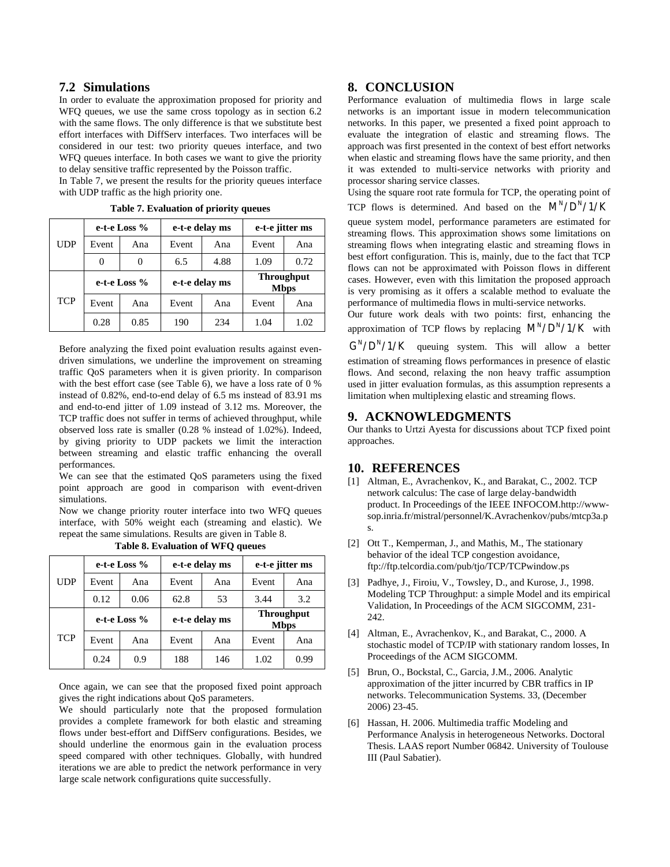In order to evaluate the approximation proposed for priority and WFQ queues, we use the same cross topology as in section 6.2 with the same flows. The only difference is that we substitute best effort interfaces with DiffServ interfaces. Two interfaces will be considered in our test: two priority queues interface, and two WFQ queues interface. In both cases we want to give the priority to delay sensitive traffic represented by the Poisson traffic.

In Table 7, we present the results for the priority queues interface processor sharing service classes. with UDP traffic as the high priority one. Using the square root rate formula for TCP, the operating point of

|            | e-t-e Loss $%$ |      | e-t-e delay ms |      | e-t-e jitter ms                  |      |
|------------|----------------|------|----------------|------|----------------------------------|------|
| <b>UDP</b> | Event          | Ana  | Event          | Ana  | Event                            | Ana  |
|            |                | 0    | 6.5            | 4.88 | 1.09                             | 0.72 |
|            | e-t-e Loss %   |      | e-t-e delay ms |      | <b>Throughput</b><br><b>Mbps</b> |      |
| <b>TCP</b> | Event          | Ana  | Event          | Ana  | Event                            | Ana  |
|            | 0.28           | 0.85 | 190            | 234  | 1.04                             | 1.02 |

Before analyzing the fixed point evaluation results against evendriven simulations, we underline the improvement on streaming traffic QoS parameters when it is given priority. In comparison with the best effort case (see Table 6), we have a loss rate of 0 % instead of 0.82%, end-to-end delay of 6.5 ms instead of 83.91 ms and end-to-end jitter of 1.09 instead of 3.12 ms. Moreover, the TCP traffic does not suffer in terms of achieved throughput, while observed loss rate is smaller (0.28 % instead of 1.02%). Indeed, by giving priority to UDP packets we limit the interaction between streaming and elastic traffic enhancing the overall performances.

We can see that the estimated QoS parameters using the fixed point approach are good in comparison with event-driven simulations.

Now we change priority router interface into two WFQ queues interface, with 50% weight each (streaming and elastic). We repeat the same simulations. Results are given in Table 8.

|            | e-t-e Loss % |      | e-t-e delay ms |     | e-t-e jitter ms                  |      |
|------------|--------------|------|----------------|-----|----------------------------------|------|
| UDP        | Event        | Ana  | Event          | Ana | Event                            | Ana  |
|            | 0.12         | 0.06 | 62.8           | 53  | 3.44                             | 3.2  |
|            | e-t-e Loss % |      | e-t-e delay ms |     | <b>Throughput</b><br><b>Mbps</b> |      |
| <b>TCP</b> | Event        | Ana  | Event          | Ana | Event                            | Ana  |
|            | 0.24         | 0.9  | 188            | 146 | 1.02                             | 0.99 |

**Table 8. Evaluation of WFQ queues** 

Once again, we can see that the proposed fixed point approach gives the right indications about QoS parameters.

We should particularly note that the proposed formulation provides a complete framework for both elastic and streaming flows under best-effort and DiffServ configurations. Besides, we should underline the enormous gain in the evaluation process speed compared with other techniques. Globally, with hundred iterations we are able to predict the network performance in very large scale network configurations quite successfully.

#### **7.2 Simulations 8. CONCLUSION**

Performance evaluation of multimedia flows in large scale networks is an important issue in modern telecommunication networks. In this paper, we presented a fixed point approach to evaluate the integration of elastic and streaming flows. The approach was first presented in the context of best effort networks when elastic and streaming flows have the same priority, and then it was extended to multi-service networks with priority and

**Table 7. Evaluation of priority queues** TCP flows is determined. And based on the  $M^N/D^N/1/K$ 

queue system model, performance parameters are estimated for streaming flows. This approximation shows some limitations on streaming flows when integrating elastic and streaming flows in best effort configuration. This is, mainly, due to the fact that TCP flows can not be approximated with Poisson flows in different cases. However, even with this limitation the proposed approach is very promising as it offers a scalable method to evaluate the performance of multimedia flows in multi-service networks.

Our future work deals with two points: first, enhancing the  $\frac{0.28}{0.85}$  0.85 190 234 1.04 1.02 approximation of TCP flows by replacing M<sup>N</sup>/D<sup>N</sup>/1/K with  $N/D<sup>N</sup>/1/K$  queuing system. This will allow a better estimation of streaming flows performances in presence of elastic flows. And second, relaxing the non heavy traffic assumption used in jitter evaluation formulas, as this assumption represents a limitation when multiplexing elastic and streaming flows.

### **9. ACKNOWLEDGMENTS**

Our thanks to Urtzi Ayesta for discussions about TCP fixed point approaches.

#### **10. REFERENCES**

- [1] Altman, E., Avrachenkov, K., and Barakat, C., 2002. TCP network calculus: The case of large delay-bandwidth product. In Proceedings of the IEEE INFOCOM.http://wwwsop.inria.fr/mistral/personnel/K.Avrachenkov/pubs/mtcp3a.p s.
- [2] Ott T., Kemperman, J., and Mathis, M., The stationary behavior of the ideal TCP congestion avoidance, ftp://ftp.telcordia.com/pub/tjo/TCP/TCPwindow.ps
- [3] Padhye, J., Firoiu, V., Towsley, D., and Kurose, J., 1998. Modeling TCP Throughput: a simple Model and its empirical Validation, In Proceedings of the ACM SIGCOMM, 231- 242.
- [4] Altman, E., Avrachenkov, K., and Barakat, C., 2000. A stochastic model of TCP/IP with stationary random losses, In Proceedings of the ACM SIGCOMM.
- [5] Brun, O., Bockstal, C., Garcia, J.M., 2006. Analytic approximation of the jitter incurred by CBR traffics in IP networks. Telecommunication Systems. 33, (December 2006) 23-45.
- [6] Hassan, H. 2006. Multimedia traffic Modeling and Performance Analysis in heterogeneous Networks. Doctoral Thesis. LAAS report Number 06842. University of Toulouse III (Paul Sabatier).